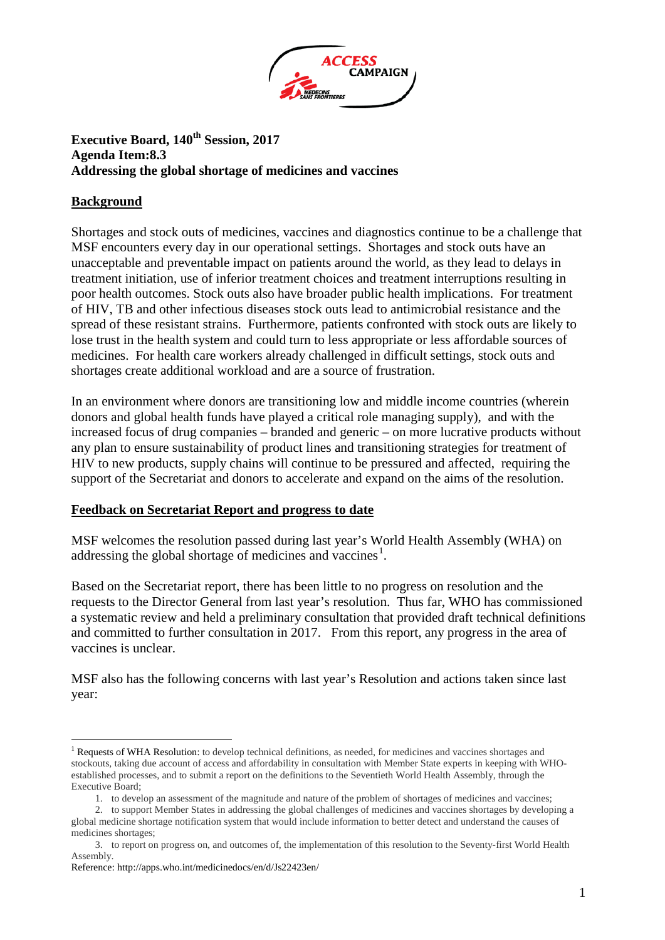

## **Executive Board, 140<sup>th</sup> Session, 2017 Agenda Item:8.3 Addressing the global shortage of medicines and vaccines**

## **Background**

Shortages and stock outs of medicines, vaccines and diagnostics continue to be a challenge that MSF encounters every day in our operational settings. Shortages and stock outs have an unacceptable and preventable impact on patients around the world, as they lead to delays in treatment initiation, use of inferior treatment choices and treatment interruptions resulting in poor health outcomes. Stock outs also have broader public health implications. For treatment of HIV, TB and other infectious diseases stock outs lead to antimicrobial resistance and the spread of these resistant strains. Furthermore, patients confronted with stock outs are likely to lose trust in the health system and could turn to less appropriate or less affordable sources of medicines. For health care workers already challenged in difficult settings, stock outs and shortages create additional workload and are a source of frustration.

In an environment where donors are transitioning low and middle income countries (wherein donors and global health funds have played a critical role managing supply), and with the increased focus of drug companies – branded and generic – on more lucrative products without any plan to ensure sustainability of product lines and transitioning strategies for treatment of HIV to new products, supply chains will continue to be pressured and affected, requiring the support of the Secretariat and donors to accelerate and expand on the aims of the resolution.

## **Feedback on Secretariat Report and progress to date**

MSF welcomes the resolution passed during last year's World Health Assembly (WHA) on addressing the global shortage of medicines and vaccines<sup>[1](#page-0-0)</sup>.

Based on the Secretariat report, there has been little to no progress on resolution and the requests to the Director General from last year's resolution. Thus far, WHO has commissioned a systematic review and held a preliminary consultation that provided draft technical definitions and committed to further consultation in 2017. From this report, any progress in the area of vaccines is unclear.

MSF also has the following concerns with last year's Resolution and actions taken since last year:

<span id="page-0-0"></span><sup>&</sup>lt;sup>1</sup> Requests of WHA Resolution: to develop technical definitions, as needed, for medicines and vaccines shortages and stockouts, taking due account of access and affordability in consultation with Member State experts in keeping with WHOestablished processes, and to submit a report on the definitions to the Seventieth World Health Assembly, through the Executive Board;

<sup>1.</sup> to develop an assessment of the magnitude and nature of the problem of shortages of medicines and vaccines;

<sup>2.</sup> to support Member States in addressing the global challenges of medicines and vaccines shortages by developing a global medicine shortage notification system that would include information to better detect and understand the causes of medicines shortages;

<sup>3.</sup> to report on progress on, and outcomes of, the implementation of this resolution to the Seventy-first World Health Assembly.

Reference: http://apps.who.int/medicinedocs/en/d/Js22423en/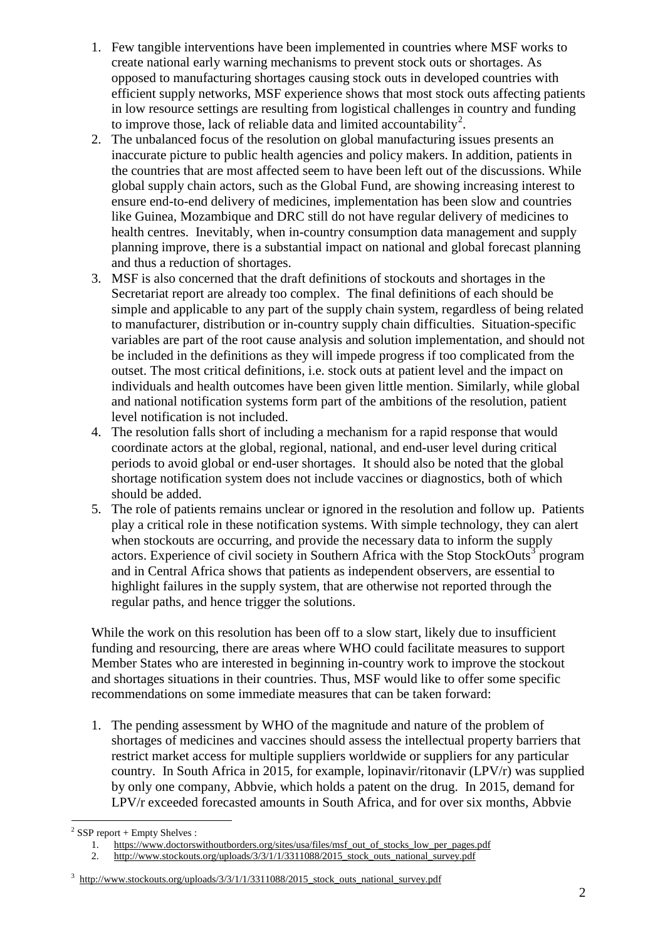- 1. Few tangible interventions have been implemented in countries where MSF works to create national early warning mechanisms to prevent stock outs or shortages. As opposed to manufacturing shortages causing stock outs in developed countries with efficient supply networks, MSF experience shows that most stock outs affecting patients in low resource settings are resulting from logistical challenges in country and funding to improve those, lack of reliable data and limited accountability<sup>[2](#page-1-0)</sup>.
- 2. The unbalanced focus of the resolution on global manufacturing issues presents an inaccurate picture to public health agencies and policy makers. In addition, patients in the countries that are most affected seem to have been left out of the discussions. While global supply chain actors, such as the Global Fund, are showing increasing interest to ensure end-to-end delivery of medicines, implementation has been slow and countries like Guinea, Mozambique and DRC still do not have regular delivery of medicines to health centres. Inevitably, when in-country consumption data management and supply planning improve, there is a substantial impact on national and global forecast planning and thus a reduction of shortages.
- 3. MSF is also concerned that the draft definitions of stockouts and shortages in the Secretariat report are already too complex. The final definitions of each should be simple and applicable to any part of the supply chain system, regardless of being related to manufacturer, distribution or in-country supply chain difficulties. Situation-specific variables are part of the root cause analysis and solution implementation, and should not be included in the definitions as they will impede progress if too complicated from the outset. The most critical definitions, i.e. stock outs at patient level and the impact on individuals and health outcomes have been given little mention. Similarly, while global and national notification systems form part of the ambitions of the resolution, patient level notification is not included.
- 4. The resolution falls short of including a mechanism for a rapid response that would coordinate actors at the global, regional, national, and end-user level during critical periods to avoid global or end-user shortages. It should also be noted that the global shortage notification system does not include vaccines or diagnostics, both of which should be added.
- 5. The role of patients remains unclear or ignored in the resolution and follow up. Patients play a critical role in these notification systems. With simple technology, they can alert when stockouts are occurring, and provide the necessary data to inform the supply actors. Experience of civil society in Southern Africa with the Stop StockOuts<sup>[3](#page-1-1)</sup> program and in Central Africa shows that patients as independent observers, are essential to highlight failures in the supply system, that are otherwise not reported through the regular paths, and hence trigger the solutions.

While the work on this resolution has been off to a slow start, likely due to insufficient funding and resourcing, there are areas where WHO could facilitate measures to support Member States who are interested in beginning in-country work to improve the stockout and shortages situations in their countries. Thus, MSF would like to offer some specific recommendations on some immediate measures that can be taken forward:

1. The pending assessment by WHO of the magnitude and nature of the problem of shortages of medicines and vaccines should assess the intellectual property barriers that restrict market access for multiple suppliers worldwide or suppliers for any particular country. In South Africa in 2015, for example, lopinavir/ritonavir (LPV/r) was supplied by only one company, Abbvie, which holds a patent on the drug. In 2015, demand for LPV/r exceeded forecasted amounts in South Africa, and for over six months, Abbvie

<span id="page-1-0"></span> $2$  SSP report + Empty Shelves :

<sup>1.</sup> [https://www.doctorswithoutborders.org/sites/usa/files/msf\\_out\\_of\\_stocks\\_low\\_per\\_pages.pdf](https://www.doctorswithoutborders.org/sites/usa/files/msf_out_of_stocks_low_per_pages.pdf)

<sup>2.</sup> [http://www.stockouts.org/uploads/3/3/1/1/3311088/2015\\_stock\\_outs\\_national\\_survey.pdf](http://www.stockouts.org/uploads/3/3/1/1/3311088/2015_stock_outs_national_survey.pdf)

<span id="page-1-1"></span><sup>3</sup> http://www.stockouts.org/uploads/3/3/1/1/3311088/2015\_stock\_outs\_national\_survey.pdf